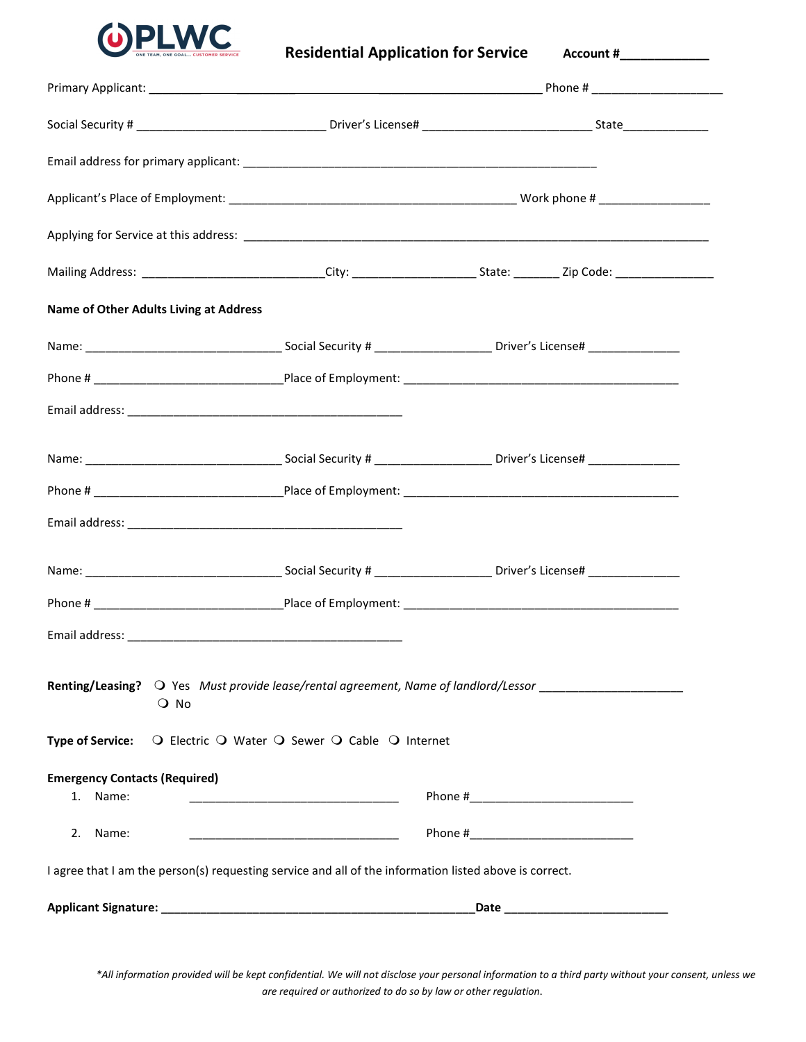

## Residential Application for Service Account #\_\_\_\_\_\_\_\_\_\_\_

| Name of Other Adults Living at Address                                                                                   |                                                     |  |
|--------------------------------------------------------------------------------------------------------------------------|-----------------------------------------------------|--|
|                                                                                                                          |                                                     |  |
|                                                                                                                          |                                                     |  |
|                                                                                                                          |                                                     |  |
|                                                                                                                          |                                                     |  |
|                                                                                                                          |                                                     |  |
|                                                                                                                          |                                                     |  |
|                                                                                                                          |                                                     |  |
|                                                                                                                          |                                                     |  |
|                                                                                                                          |                                                     |  |
| <b>Renting/Leasing?</b> $\bigcirc$ Yes Must provide lease/rental agreement, Name of landlord/Lessor<br>$\overline{O}$ No |                                                     |  |
| <b>Type of Service:</b>                                                                                                  | O Electric O Water O Sewer O Cable O Internet       |  |
| <b>Emergency Contacts (Required)</b><br>1. Name:                                                                         |                                                     |  |
| Name:<br>2.                                                                                                              | <u> 1989 - Johann Barbara, martxa alemaniar arg</u> |  |
| I agree that I am the person(s) requesting service and all of the information listed above is correct.                   |                                                     |  |
|                                                                                                                          |                                                     |  |

\*All information provided will be kept confidential. We will not disclose your personal information to a third party without your consent, unless we are required or authorized to do so by law or other regulation.